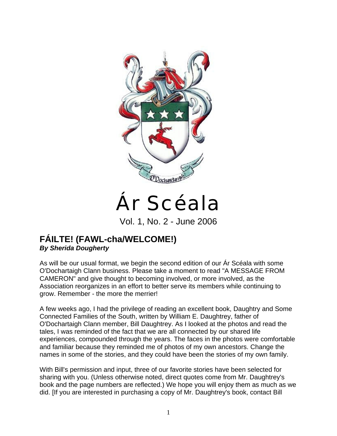

# Ár Scéala

Vol. 1, No. 2 - June 2006

## **FÁILTE! (FAWL-cha/WELCOME!)**  *By Sherida Dougherty*

As will be our usual format, we begin the second edition of our Ár Scéala with some O'Dochartaigh Clann business. Please take a moment to read "A MESSAGE FROM CAMERON" and give thought to becoming involved, or more involved, as the Association reorganizes in an effort to better serve its members while continuing to grow. Remember - the more the merrier!

A few weeks ago, I had the privilege of reading an excellent book, Daughtry and Some Connected Families of the South, written by William E. Daughtrey, father of O'Dochartaigh Clann member, Bill Daughtrey. As I looked at the photos and read the tales, I was reminded of the fact that we are all connected by our shared life experiences, compounded through the years. The faces in the photos were comfortable and familiar because they reminded me of photos of my own ancestors. Change the names in some of the stories, and they could have been the stories of my own family.

With Bill's permission and input, three of our favorite stories have been selected for sharing with you. (Unless otherwise noted, direct quotes come from Mr. Daughtrey's book and the page numbers are reflected.) We hope you will enjoy them as much as we did. [If you are interested in purchasing a copy of Mr. Daughtrey's book, contact Bill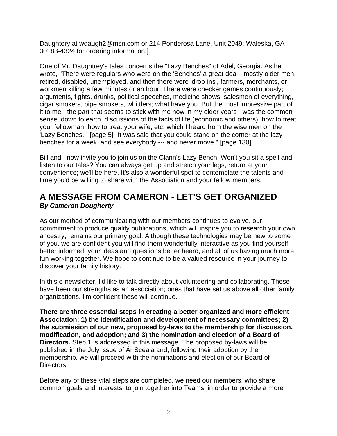Daughtery at wdaugh2@msn.com or 214 Ponderosa Lane, Unit 2049, Waleska, GA 30183-4324 for ordering information.]

One of Mr. Daughtrey's tales concerns the "Lazy Benches" of Adel, Georgia. As he wrote, "There were regulars who were on the 'Benches' a great deal - mostly older men, retired, disabled, unemployed, and then there were 'drop-ins', farmers, merchants, or workmen killing a few minutes or an hour. There were checker games continuously; arguments, fights, drunks, political speeches, medicine shows, salesmen of everything, cigar smokers, pipe smokers, whittlers; what have you. But the most impressive part of it to me - the part that seems to stick with me now in my older years - was the common sense, down to earth, discussions of the facts of life (economic and others): how to treat your fellowman, how to treat your wife, etc. which I heard from the wise men on the 'Lazy Benches.'" [page 5] "It was said that you could stand on the corner at the lazy benches for a week, and see everybody --- and never move." [page 130]

Bill and I now invite you to join us on the Clann's Lazy Bench. Won't you sit a spell and listen to our tales? You can always get up and stretch your legs, return at your convenience; we'll be here. It's also a wonderful spot to contemplate the talents and time you'd be willing to share with the Association and your fellow members.

## **A MESSAGE FROM CAMERON - LET'S GET ORGANIZED**  *By Cameron Dougherty*

As our method of communicating with our members continues to evolve, our commitment to produce quality publications, which will inspire you to research your own ancestry, remains our primary goal. Although these technologies may be new to some of you, we are confident you will find them wonderfully interactive as you find yourself better informed, your ideas and questions better heard, and all of us having much more fun working together. We hope to continue to be a valued resource in your journey to discover your family history.

In this e-newsletter, I'd like to talk directly about volunteering and collaborating. These have been our strengths as an association; ones that have set us above all other family organizations. I'm confident these will continue.

**There are three essential steps in creating a better organized and more efficient Association: 1) the identification and development of necessary committees; 2) the submission of our new, proposed by-laws to the membership for discussion, modification, and adoption; and 3) the nomination and election of a Board of Directors.** Step 1 is addressed in this message. The proposed by-laws will be published in the July issue of Ár Scéala and, following their adoption by the membership, we will proceed with the nominations and election of our Board of Directors.

Before any of these vital steps are completed, we need our members, who share common goals and interests, to join together into Teams, in order to provide a more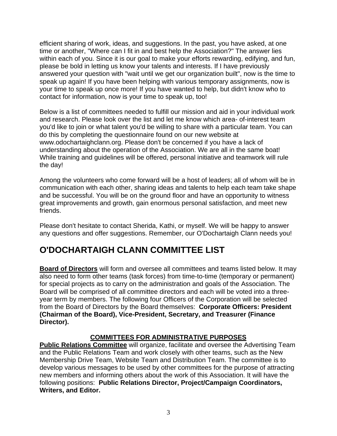efficient sharing of work, ideas, and suggestions. In the past, you have asked, at one time or another, "Where can I fit in and best help the Association?" The answer lies within each of you. Since it is our goal to make your efforts rewarding, edifying, and fun, please be bold in letting us know your talents and interests. If I have previously answered your question with "wait until we get our organization built", now is the time to speak up again! If you have been helping with various temporary assignments, now is your time to speak up once more! If you have wanted to help, but didn't know who to contact for information, now is your time to speak up, too!

Below is a list of committees needed to fulfill our mission and aid in your individual work and research. Please look over the list and let me know which area- of-interest team you'd like to join or what talent you'd be willing to share with a particular team. You can do this by completing the questionnaire found on our new website at www.odochartaighclann.org. Please don't be concerned if you have a lack of understanding about the operation of the Association. We are all in the same boat! While training and guidelines will be offered, personal initiative and teamwork will rule the day!

Among the volunteers who come forward will be a host of leaders; all of whom will be in communication with each other, sharing ideas and talents to help each team take shape and be successful. You will be on the ground floor and have an opportunity to witness great improvements and growth, gain enormous personal satisfaction, and meet new friends.

Please don't hesitate to contact Sherida, Kathi, or myself. We will be happy to answer any questions and offer suggestions. Remember, our O'Dochartaigh Clann needs you!

# **O'DOCHARTAIGH CLANN COMMITTEE LIST**

**Board of Directors** will form and oversee all committees and teams listed below. It may also need to form other teams (task forces) from time-to-time (temporary or permanent) for special projects as to carry on the administration and goals of the Association. The Board will be comprised of all committee directors and each will be voted into a threeyear term by members. The following four Officers of the Corporation will be selected from the Board of Directors by the Board themselves: **Corporate Officers: President (Chairman of the Board), Vice-President, Secretary, and Treasurer (Finance Director).**

### **COMMITTEES FOR ADMINISTRATIVE PURPOSES**

**Public Relations Committee** will organize, facilitate and oversee the Advertising Team and the Public Relations Team and work closely with other teams, such as the New Membership Drive Team, Website Team and Distribution Team. The committee is to develop various messages to be used by other committees for the purpose of attracting new members and informing others about the work of this Association. It will have the following positions: **Public Relations Director, Project/Campaign Coordinators, Writers, and Editor.**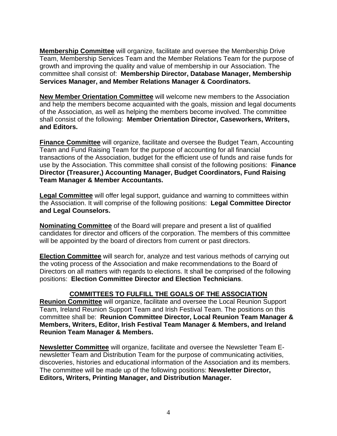**Membership Committee** will organize, facilitate and oversee the Membership Drive Team, Membership Services Team and the Member Relations Team for the purpose of growth and improving the quality and value of membership in our Association. The committee shall consist of: **Membership Director, Database Manager, Membership Services Manager, and Member Relations Manager & Coordinators.**

**New Member Orientation Committee** will welcome new members to the Association and help the members become acquainted with the goals, mission and legal documents of the Association, as well as helping the members become involved. The committee shall consist of the following: **Member Orientation Director, Caseworkers, Writers, and Editors.** 

**Finance Committee** will organize, facilitate and oversee the Budget Team, Accounting Team and Fund Raising Team for the purpose of accounting for all financial transactions of the Association, budget for the efficient use of funds and raise funds for use by the Association. This committee shall consist of the following positions: **Finance Director (Treasurer,) Accounting Manager, Budget Coordinators, Fund Raising Team Manager & Member Accountants.** 

**Legal Committee** will offer legal support, guidance and warning to committees within the Association. It will comprise of the following positions: **Legal Committee Director and Legal Counselors.** 

**Nominating Committee** of the Board will prepare and present a list of qualified candidates for director and officers of the corporation. The members of this committee will be appointed by the board of directors from current or past directors.

**Election Committee** will search for, analyze and test various methods of carrying out the voting process of the Association and make recommendations to the Board of Directors on all matters with regards to elections. It shall be comprised of the following positions: **Election Committee Director and Election Technicians**.

#### **COMMITTEES TO FULFILL THE GOALS OF THE ASSOCIATION**

**Reunion Committee** will organize, facilitate and oversee the Local Reunion Support Team, Ireland Reunion Support Team and Irish Festival Team. The positions on this committee shall be: **Reunion Committee Director, Local Reunion Team Manager & Members, Writers, Editor, Irish Festival Team Manager & Members, and Ireland Reunion Team Manager & Members.** 

**Newsletter Committee** will organize, facilitate and oversee the Newsletter Team Enewsletter Team and Distribution Team for the purpose of communicating activities, discoveries, histories and educational information of the Association and its members. The committee will be made up of the following positions: **Newsletter Director, Editors, Writers, Printing Manager, and Distribution Manager.**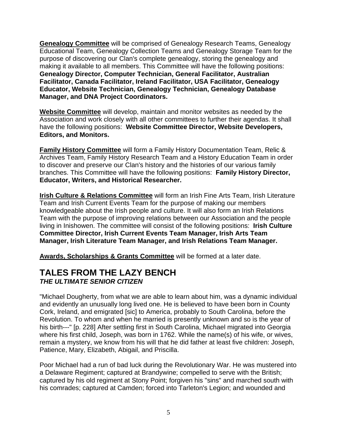**Genealogy Committee** will be comprised of Genealogy Research Teams, Genealogy Educational Team, Genealogy Collection Teams and Genealogy Storage Team for the purpose of discovering our Clan's complete genealogy, storing the genealogy and making it available to all members. This Committee will have the following positions: **Genealogy Director, Computer Technician, General Facilitator, Australian Facilitator, Canada Facilitator, Ireland Facilitator, USA Facilitator, Genealogy Educator, Website Technician, Genealogy Technician, Genealogy Database Manager, and DNA Project Coordinators.**

**Website Committee** will develop, maintain and monitor websites as needed by the Association and work closely with all other committees to further their agendas. It shall have the following positions: **Website Committee Director, Website Developers, Editors, and Monitors.** 

**Family History Committee** will form a Family History Documentation Team, Relic & Archives Team, Family History Research Team and a History Education Team in order to discover and preserve our Clan's history and the histories of our various family branches. This Committee will have the following positions: **Family History Director, Educator, Writers, and Historical Researcher.** 

**Irish Culture & Relations Committee** will form an Irish Fine Arts Team, Irish Literature Team and Irish Current Events Team for the purpose of making our members knowledgeable about the Irish people and culture. It will also form an Irish Relations Team with the purpose of improving relations between our Association and the people living in Inishowen. The committee will consist of the following positions: **Irish Culture Committee Director, Irish Current Events Team Manager, Irish Arts Team Manager, Irish Literature Team Manager, and Irish Relations Team Manager.**

**Awards, Scholarships & Grants Committee** will be formed at a later date.

## **TALES FROM THE LAZY BENCH**  *THE ULTIMATE SENIOR CITIZEN*

"Michael Dougherty, from what we are able to learn about him, was a dynamic individual and evidently an unusually long lived one. He is believed to have been born in County Cork, Ireland, and emigrated [sic] to America, probably to South Carolina, before the Revolution. To whom and when he married is presently unknown and so is the year of his birth---" [p. 228] After settling first in South Carolina, Michael migrated into Georgia where his first child, Joseph, was born in 1762. While the name(s) of his wife, or wives, remain a mystery, we know from his will that he did father at least five children: Joseph, Patience, Mary, Elizabeth, Abigail, and Priscilla.

Poor Michael had a run of bad luck during the Revolutionary War. He was mustered into a Delaware Regiment; captured at Brandywine; compelled to serve with the British; captured by his old regiment at Stony Point; forgiven his "sins" and marched south with his comrades; captured at Camden; forced into Tarleton's Legion; and wounded and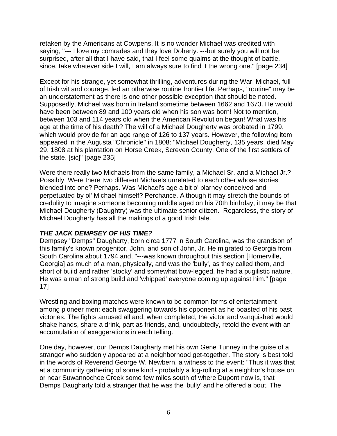retaken by the Americans at Cowpens. It is no wonder Michael was credited with saying, "--- I love my comrades and they love Doherty. ---but surely you will not be surprised, after all that I have said, that I feel some qualms at the thought of battle, since, take whatever side I will, I am always sure to find it the wrong one." [page 234]

Except for his strange, yet somewhat thrilling, adventures during the War, Michael, full of Irish wit and courage, led an otherwise routine frontier life. Perhaps, "routine" may be an understatement as there is one other possible exception that should be noted. Supposedly, Michael was born in Ireland sometime between 1662 and 1673. He would have been between 89 and 100 years old when his son was born! Not to mention, between 103 and 114 years old when the American Revolution began! What was his age at the time of his death? The will of a Michael Dougherty was probated in 1799, which would provide for an age range of 126 to 137 years. However, the following item appeared in the Augusta "Chronicle" in 1808: "Michael Dougherty, 135 years, died May 29, 1808 at his plantation on Horse Creek, Screven County. One of the first settlers of the state. [sic]" [page 235]

Were there really two Michaels from the same family, a Michael Sr. and a Michael Jr.? Possibly. Were there two different Michaels unrelated to each other whose stories blended into one? Perhaps. Was Michael's age a bit o' blarney conceived and perpetuated by ol' Michael himself? Perchance. Although it may stretch the bounds of credulity to imagine someone becoming middle aged on his 70th birthday, it may be that Michael Dougherty (Daughtry) was the ultimate senior citizen. Regardless, the story of Michael Dougherty has all the makings of a good Irish tale.

#### *THE JACK DEMPSEY OF HIS TIME?*

Dempsey "Demps" Daugharty, born circa 1777 in South Carolina, was the grandson of this family's known progenitor, John, and son of John, Jr. He migrated to Georgia from South Carolina about 1794 and, "---was known throughout this section [Homerville, Georgia] as much of a man, physically, and was the 'bully', as they called them, and short of build and rather 'stocky' and somewhat bow-legged, he had a pugilistic nature. He was a man of strong build and 'whipped' everyone coming up against him." [page 17]

Wrestling and boxing matches were known to be common forms of entertainment among pioneer men; each swaggering towards his opponent as he boasted of his past victories. The fights amused all and, when completed, the victor and vanquished would shake hands, share a drink, part as friends, and, undoubtedly, retold the event with an accumulation of exaggerations in each telling.

One day, however, our Demps Daugharty met his own Gene Tunney in the guise of a stranger who suddenly appeared at a neighborhood get-together. The story is best told in the words of Reverend George W. Newbern, a witness to the event: "Thus it was that at a community gathering of some kind - probably a log-rolling at a neighbor's house on or near Suwannochee Creek some few miles south of where Dupont now is, that Demps Daugharty told a stranger that he was the 'bully' and he offered a bout. The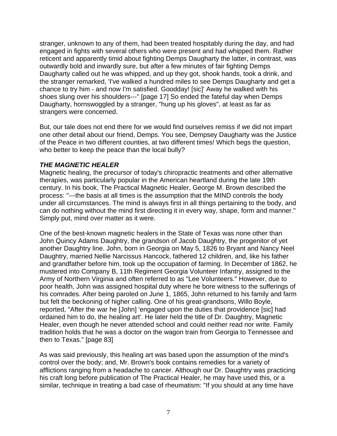stranger, unknown to any of them, had been treated hospitably during the day, and had engaged in fights with several others who were present and had whipped them. Rather reticent and apparently timid about fighting Demps Daugharty the latter, in contrast, was outwardly bold and inwardly sure, but after a few minutes of fair fighting Demps Daugharty called out he was whipped, and up they got, shook hands, took a drink, and the stranger remarked, 'I've walked a hundred miles to see Demps Daugharty and get a chance to try him - and now I'm satisfied. Goodday! [sic]' Away he walked with his shoes slung over his shoulders---" [page 17] So ended the fateful day when Demps Daugharty, hornswoggled by a stranger, "hung up his gloves", at least as far as strangers were concerned.

But, our tale does not end there for we would find ourselves remiss if we did not impart one other detail about our friend, Demps. You see, Dempsey Daugharty was the Justice of the Peace in two different counties, at two different times! Which begs the question, who better to keep the peace than the local bully?

#### *THE MAGNETIC HEALER*

Magnetic healing, the precursor of today's chiropractic treatments and other alternative therapies, was particularly popular in the American heartland during the late 19th century. In his book, The Practical Magnetic Healer, George M. Brown described the process: "---the basis at all times is the assumption that the MIND controls the body under all circumstances. The mind is always first in all things pertaining to the body, and can do nothing without the mind first directing it in every way, shape, form and manner." Simply put, mind over matter as it were.

One of the best-known magnetic healers in the State of Texas was none other than John Quincy Adams Daughtry, the grandson of Jacob Daughtry, the progenitor of yet another Daughtry line. John, born in Georgia on May 5, 1826 to Bryant and Nancy Neel Daughtry, married Nellie Narcissus Hancock, fathered 12 children, and, like his father and grandfather before him, took up the occupation of farming. In December of 1862, he mustered into Company B, 11th Regiment Georgia Volunteer Infantry, assigned to the Army of Northern Virginia and often referred to as "Lee Volunteers." However, due to poor health, John was assigned hospital duty where he bore witness to the sufferings of his comrades. After being paroled on June 1, 1865, John returned to his family and farm but felt the beckoning of higher calling. One of his great-grandsons, Willo Boyle, reported, "After the war he [John] 'engaged upon the duties that providence [sic] had ordained him to do, the healing art'. He later held the title of Dr. Daughtry, Magnetic Healer, even though he never attended school and could neither read nor write. Family tradition holds that he was a doctor on the wagon train from Georgia to Tennessee and then to Texas." [page 83]

As was said previously, this healing art was based upon the assumption of the mind's control over the body; and, Mr. Brown's book contains remedies for a variety of afflictions ranging from a headache to cancer. Although our Dr. Daughtry was practicing his craft long before publication of The Practical Healer, he may have used this, or a similar, technique in treating a bad case of rheumatism: "If you should at any time have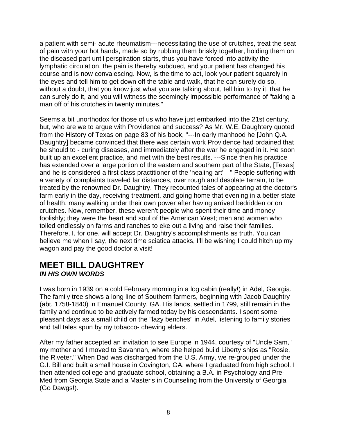a patient with semi- acute rheumatism---necessitating the use of crutches, treat the seat of pain with your hot hands, made so by rubbing them briskly together, holding them on the diseased part until perspiration starts, thus you have forced into activity the lymphatic circulation, the pain is thereby subdued, and your patient has changed his course and is now convalescing. Now, is the time to act, look your patient squarely in the eyes and tell him to get down off the table and walk, that he can surely do so, without a doubt, that you know just what you are talking about, tell him to try it, that he can surely do it, and you will witness the seemingly impossible performance of "taking a man off of his crutches in twenty minutes."

Seems a bit unorthodox for those of us who have just embarked into the 21st century, but, who are we to argue with Providence and success? As Mr. W.E. Daughtery quoted from the History of Texas on page 83 of his book, "---In early manhood he [John Q.A. Daughtry] became convinced that there was certain work Providence had ordained that he should to - curing diseases, and immediately after the war he engaged in it. He soon built up an excellent practice, and met with the best results. ---Since then his practice has extended over a large portion of the eastern and southern part of the State, [Texas] and he is considered a first class practitioner of the 'healing art'---" People suffering with a variety of complaints traveled far distances, over rough and desolate terrain, to be treated by the renowned Dr. Daughtry. They recounted tales of appearing at the doctor's farm early in the day, receiving treatment, and going home that evening in a better state of health, many walking under their own power after having arrived bedridden or on crutches. Now, remember, these weren't people who spent their time and money foolishly; they were the heart and soul of the American West; men and women who toiled endlessly on farms and ranches to eke out a living and raise their families. Therefore, I, for one, will accept Dr. Daughtry's accomplishments as truth. You can believe me when I say, the next time sciatica attacks, I'll be wishing I could hitch up my wagon and pay the good doctor a visit!

## **MEET BILL DAUGHTREY**  *IN HIS OWN WORDS*

I was born in 1939 on a cold February morning in a log cabin (really!) in Adel, Georgia. The family tree shows a long line of Southern farmers, beginning with Jacob Daughtry (abt. 1758-1840) in Emanuel County, GA. His lands, settled in 1799, still remain in the family and continue to be actively farmed today by his descendants. I spent some pleasant days as a small child on the "lazy benches" in Adel, listening to family stories and tall tales spun by my tobacco- chewing elders.

After my father accepted an invitation to see Europe in 1944, courtesy of "Uncle Sam," my mother and I moved to Savannah, where she helped build Liberty ships as "Rosie, the Riveter." When Dad was discharged from the U.S. Army, we re-grouped under the G.I. Bill and built a small house in Covington, GA, where I graduated from high school. I then attended college and graduate school, obtaining a B.A. in Psychology and Pre-Med from Georgia State and a Master's in Counseling from the University of Georgia (Go Dawgs!).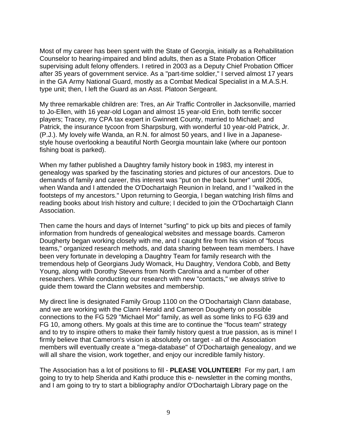Most of my career has been spent with the State of Georgia, initially as a Rehabilitation Counselor to hearing-impaired and blind adults, then as a State Probation Officer supervising adult felony offenders. I retired in 2003 as a Deputy Chief Probation Officer after 35 years of government service. As a "part-time soldier," I served almost 17 years in the GA Army National Guard, mostly as a Combat Medical Specialist in a M.A.S.H. type unit; then, I left the Guard as an Asst. Platoon Sergeant.

My three remarkable children are: Tres, an Air Traffic Controller in Jacksonville, married to Jo-Ellen, with 16 year-old Logan and almost 15 year-old Erin, both terrific soccer players; Tracey, my CPA tax expert in Gwinnett County, married to Michael; and Patrick, the insurance tycoon from Sharpsburg, with wonderful 10 year-old Patrick, Jr. (P.J.). My lovely wife Wanda, an R.N. for almost 50 years, and I live in a Japanesestyle house overlooking a beautiful North Georgia mountain lake (where our pontoon fishing boat is parked).

When my father published a Daughtry family history book in 1983, my interest in genealogy was sparked by the fascinating stories and pictures of our ancestors. Due to demands of family and career, this interest was "put on the back burner" until 2005, when Wanda and I attended the O'Dochartaigh Reunion in Ireland, and I "walked in the footsteps of my ancestors." Upon returning to Georgia, I began watching Irish films and reading books about Irish history and culture; I decided to join the O'Dochartaigh Clann Association.

Then came the hours and days of Internet "surfing" to pick up bits and pieces of family information from hundreds of genealogical websites and message boards. Cameron Dougherty began working closely with me, and I caught fire from his vision of "focus teams," organized research methods, and data sharing between team members. I have been very fortunate in developing a Daughtry Team for family research with the tremendous help of Georgians Judy Womack, Hu Daughtry, Vendora Cobb, and Betty Young, along with Dorothy Stevens from North Carolina and a number of other researchers. While conducting our research with new "contacts," we always strive to guide them toward the Clann websites and membership.

My direct line is designated Family Group 1100 on the O'Dochartaigh Clann database, and we are working with the Clann Herald and Cameron Dougherty on possible connections to the FG 529 "Michael Mor" family, as well as some links to FG 639 and FG 10, among others. My goals at this time are to continue the "focus team" strategy and to try to inspire others to make their family history quest a true passion, as is mine! I firmly believe that Cameron's vision is absolutely on target - all of the Association members will eventually create a "mega-database" of O'Dochartaigh genealogy, and we will all share the vision, work together, and enjoy our incredible family history.

The Association has a lot of positions to fill - **PLEASE VOLUNTEER!** For my part, I am going to try to help Sherida and Kathi produce this e- newsletter in the coming months, and I am going to try to start a bibliography and/or O'Dochartaigh Library page on the